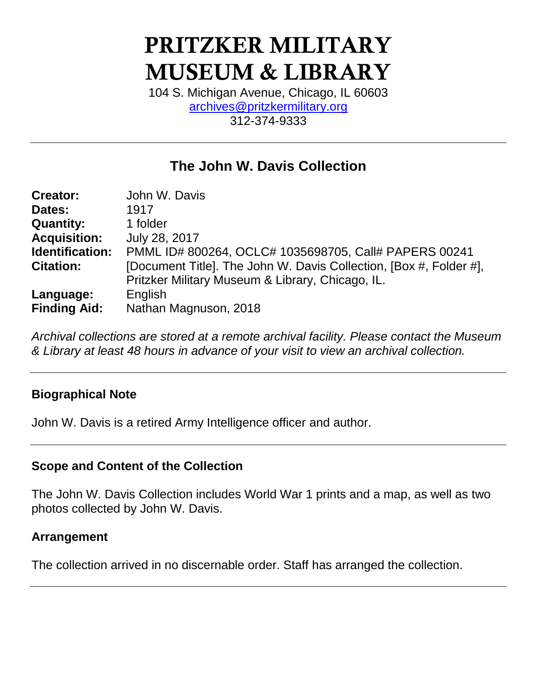# **PRITZKER MILITARY MUSEUM & LIBRARY**

104 S. Michigan Avenue, Chicago, IL 60603 [archives@pritzkermilitary.org](mailto:archives@pritzkermilitary.org) 312-374-9333

## **The John W. Davis Collection**

| <b>Creator:</b>     | John W. Davis                                                      |
|---------------------|--------------------------------------------------------------------|
| Dates:              | 1917                                                               |
| <b>Quantity:</b>    | 1 folder                                                           |
| <b>Acquisition:</b> | July 28, 2017                                                      |
| Identification:     | PMML ID# 800264, OCLC# 1035698705, Call# PAPERS 00241              |
| <b>Citation:</b>    | [Document Title]. The John W. Davis Collection, [Box #, Folder #], |
|                     | Pritzker Military Museum & Library, Chicago, IL.                   |
| Language:           | English                                                            |
| <b>Finding Aid:</b> | Nathan Magnuson, 2018                                              |

*Archival collections are stored at a remote archival facility. Please contact the Museum & Library at least 48 hours in advance of your visit to view an archival collection.*

## **Biographical Note**

John W. Davis is a retired Army Intelligence officer and author.

## **Scope and Content of the Collection**

The John W. Davis Collection includes World War 1 prints and a map, as well as two photos collected by John W. Davis.

## **Arrangement**

The collection arrived in no discernable order. Staff has arranged the collection.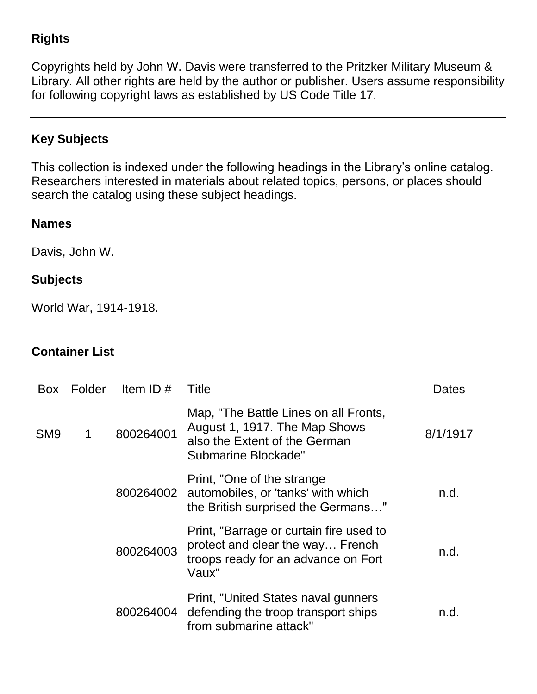## **Rights**

Copyrights held by John W. Davis were transferred to the Pritzker Military Museum & Library. All other rights are held by the author or publisher. Users assume responsibility for following copyright laws as established by US Code Title 17.

## **Key Subjects**

This collection is indexed under the following headings in the Library's online catalog. Researchers interested in materials about related topics, persons, or places should search the catalog using these subject headings.

#### **Names**

Davis, John W.

## **Subjects**

World War, 1914-1918.

## **Container List**

| <b>Box</b>      | Folder | Item ID $#$ | Title                                                                                                                          | Dates    |
|-----------------|--------|-------------|--------------------------------------------------------------------------------------------------------------------------------|----------|
| SM <sub>9</sub> | 1      | 800264001   | Map, "The Battle Lines on all Fronts,<br>August 1, 1917. The Map Shows<br>also the Extent of the German<br>Submarine Blockade" | 8/1/1917 |
|                 |        |             | Print, "One of the strange"<br>800264002 automobiles, or 'tanks' with which<br>the British surprised the Germans"              | n.d.     |
|                 |        | 800264003   | Print, "Barrage or curtain fire used to<br>protect and clear the way French<br>troops ready for an advance on Fort<br>Vaux"    | n.d.     |
|                 |        | 800264004   | Print, "United States naval gunners<br>defending the troop transport ships<br>from submarine attack"                           | n.d.     |